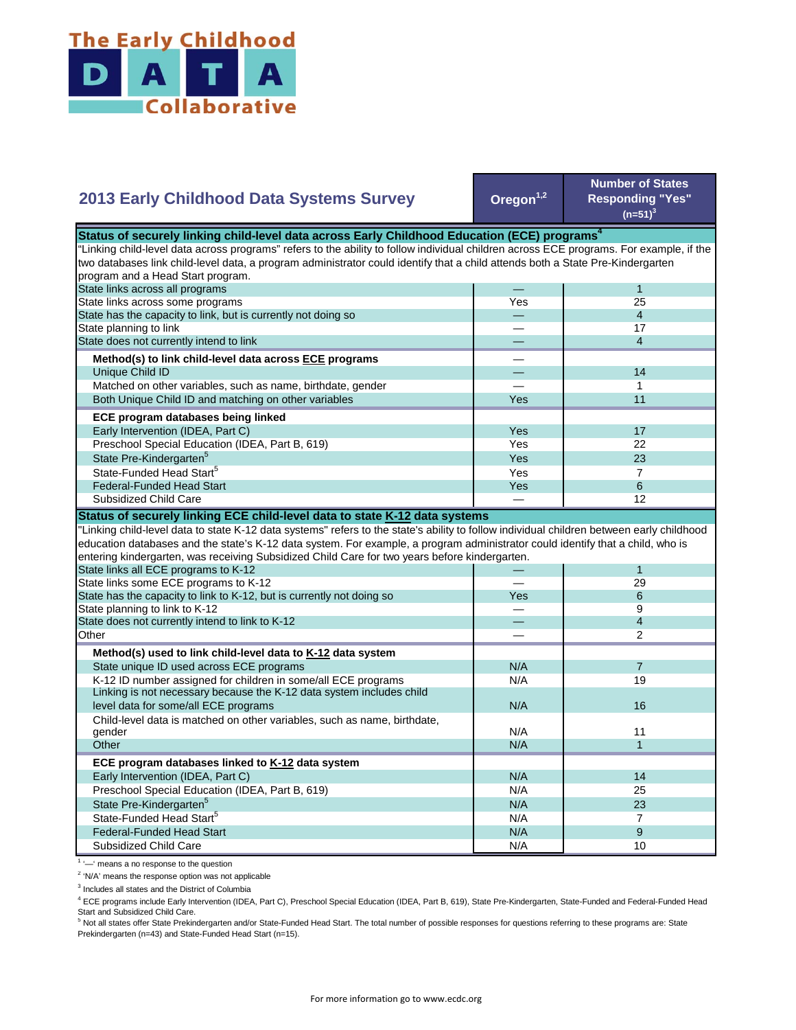

| 2013 Early Childhood Data Systems Survey                                                                                                  | Oregon <sup>1,2</sup> | <b>Number of States</b><br><b>Responding "Yes"</b><br>$(n=51)^3$ |
|-------------------------------------------------------------------------------------------------------------------------------------------|-----------------------|------------------------------------------------------------------|
| Status of securely linking child-level data across Early Childhood Education (ECE) programs <sup>4</sup>                                  |                       |                                                                  |
| "Linking child-level data across programs" refers to the ability to follow individual children across ECE programs. For example, if the   |                       |                                                                  |
| two databases link child-level data, a program administrator could identify that a child attends both a State Pre-Kindergarten            |                       |                                                                  |
| program and a Head Start program.                                                                                                         |                       |                                                                  |
| State links across all programs                                                                                                           |                       | $\mathbf{1}$                                                     |
| State links across some programs                                                                                                          | Yes                   | 25                                                               |
| State has the capacity to link, but is currently not doing so                                                                             |                       | $\overline{4}$                                                   |
| State planning to link                                                                                                                    |                       | 17                                                               |
| State does not currently intend to link                                                                                                   |                       | $\overline{4}$                                                   |
| Method(s) to link child-level data across ECE programs                                                                                    |                       |                                                                  |
|                                                                                                                                           |                       | 14                                                               |
| Unique Child ID                                                                                                                           |                       | 1                                                                |
| Matched on other variables, such as name, birthdate, gender                                                                               | Yes                   | 11                                                               |
| Both Unique Child ID and matching on other variables                                                                                      |                       |                                                                  |
| ECE program databases being linked                                                                                                        |                       |                                                                  |
| Early Intervention (IDEA, Part C)                                                                                                         | Yes                   | 17                                                               |
| Preschool Special Education (IDEA, Part B, 619)                                                                                           | Yes                   | 22                                                               |
| State Pre-Kindergarten <sup>5</sup>                                                                                                       | Yes                   | 23                                                               |
| State-Funded Head Start <sup>5</sup>                                                                                                      | Yes                   | $\overline{7}$                                                   |
| <b>Federal-Funded Head Start</b>                                                                                                          | Yes                   | 6                                                                |
| Subsidized Child Care                                                                                                                     |                       | 12                                                               |
| Status of securely linking ECE child-level data to state K-12 data systems                                                                |                       |                                                                  |
| 'Linking child-level data to state K-12 data systems" refers to the state's ability to follow individual children between early childhood |                       |                                                                  |
| education databases and the state's K-12 data system. For example, a program administrator could identify that a child, who is            |                       |                                                                  |
| entering kindergarten, was receiving Subsidized Child Care for two years before kindergarten.                                             |                       |                                                                  |
| State links all ECE programs to K-12                                                                                                      |                       |                                                                  |
|                                                                                                                                           |                       |                                                                  |
|                                                                                                                                           |                       | 1                                                                |
| State links some ECE programs to K-12                                                                                                     |                       | 29                                                               |
| State has the capacity to link to K-12, but is currently not doing so                                                                     | Yes                   | 6                                                                |
| State planning to link to K-12                                                                                                            |                       | 9                                                                |
| State does not currently intend to link to K-12                                                                                           |                       | $\overline{4}$                                                   |
| Other                                                                                                                                     |                       | $\overline{2}$                                                   |
| Method(s) used to link child-level data to K-12 data system                                                                               |                       |                                                                  |
| State unique ID used across ECE programs                                                                                                  | N/A                   | $\overline{7}$                                                   |
| K-12 ID number assigned for children in some/all ECE programs                                                                             | N/A                   | 19                                                               |
| Linking is not necessary because the K-12 data system includes child                                                                      |                       |                                                                  |
| level data for some/all ECE programs                                                                                                      | N/A                   | 16                                                               |
| Child-level data is matched on other variables, such as name, birthdate,                                                                  |                       |                                                                  |
| gender                                                                                                                                    | N/A                   | 11                                                               |
| Other                                                                                                                                     | N/A                   | $\mathbf{1}$                                                     |
| ECE program databases linked to K-12 data system                                                                                          |                       |                                                                  |
| Early Intervention (IDEA, Part C)                                                                                                         | N/A                   | 14                                                               |
| Preschool Special Education (IDEA, Part B, 619)                                                                                           | N/A                   | 25                                                               |
| State Pre-Kindergarten <sup>5</sup>                                                                                                       | N/A                   | 23                                                               |
| State-Funded Head Start <sup>5</sup>                                                                                                      | N/A                   | $\overline{7}$                                                   |
| <b>Federal-Funded Head Start</b>                                                                                                          | N/A                   | 9                                                                |

<sup>1</sup> '-' means a no response to the question

<sup>2</sup> 'N/A' means the response option was not applicable

<sup>3</sup> Includes all states and the District of Columbia

<sup>4</sup> ECE programs include Early Intervention (IDEA, Part C), Preschool Special Education (IDEA, Part B, 619), State Pre-Kindergarten, State-Funded and Federal-Funded Head

Start and Subsidized Child Care.<br><sup>5</sup> Not all states offer State Prekindergarten and/or State-Funded Head Start. The total number of possible responses for questions referring to these programs are: State Prekindergarten (n=43) and State-Funded Head Start (n=15).